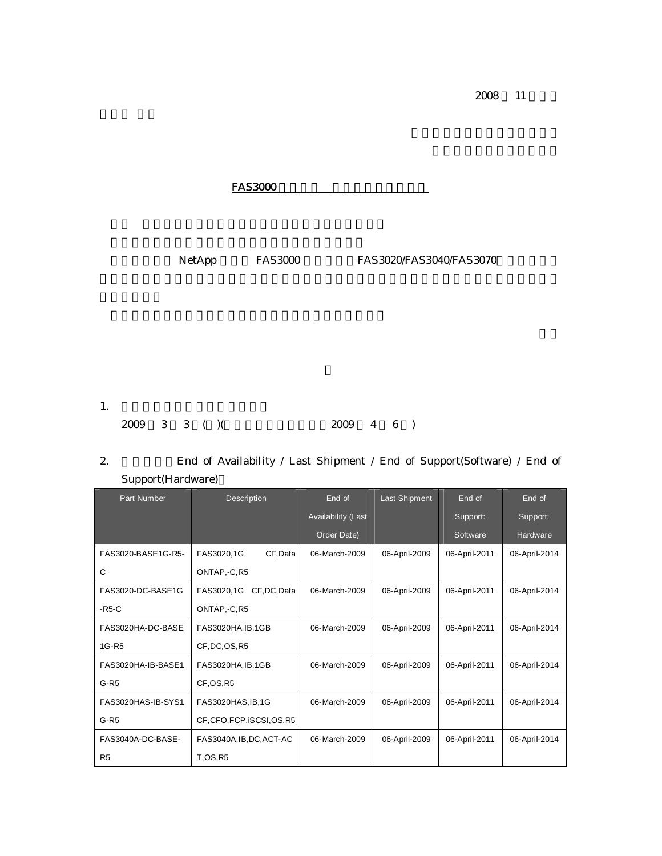2008 11

| <b>FAS3000</b>              |                                                         |
|-----------------------------|---------------------------------------------------------|
| NetApp<br><b>FAS3000</b>    | FAS3020/FAS3040/FAS3070                                 |
|                             |                                                         |
|                             |                                                         |
|                             |                                                         |
| 1.<br>$3 \t3 \t( )$<br>2009 | 2009<br>$\overline{4}$<br>6<br>$\overline{\phantom{a}}$ |

2. **End of Availability / Last Shipment / End of Support(Software) / End of** Support(Hardware)

| <b>Part Number</b> | Description                 | End of             | <b>Last Shipment</b> | End of        | End of        |
|--------------------|-----------------------------|--------------------|----------------------|---------------|---------------|
|                    |                             | Availability (Last |                      | Support:      | Support:      |
|                    |                             | Order Date)        |                      | Software      | Hardware      |
| FAS3020-BASE1G-R5- | FAS3020,1G<br>CF, Data      | 06-March-2009      | 06-April-2009        | 06-April-2011 | 06-April-2014 |
| C                  | ONTAP,-C,R5                 |                    |                      |               |               |
| FAS3020-DC-BASE1G  | FAS3020.1G<br>CF, DC, Data  | 06-March-2009      | 06-April-2009        | 06-April-2011 | 06-April-2014 |
| $-R5-C$            | ONTAP,-C,R5                 |                    |                      |               |               |
| FAS3020HA-DC-BASE  | FAS3020HA, IB, 1GB          | 06-March-2009      | 06-April-2009        | 06-April-2011 | 06-April-2014 |
| 1G-R <sub>5</sub>  | CF, DC, OS, R5              |                    |                      |               |               |
| FAS3020HA-IB-BASE1 | FAS3020HA, IB, 1GB          | 06-March-2009      | 06-April-2009        | 06-April-2011 | 06-April-2014 |
| $G-R5$             | CF,OS,R5                    |                    |                      |               |               |
| FAS3020HAS-IB-SYS1 | FAS3020HAS, IB, 1G          | 06-March-2009      | 06-April-2009        | 06-April-2011 | 06-April-2014 |
| $G-R5$             | CF, CFO, FCP, ISCSI, OS, R5 |                    |                      |               |               |
| FAS3040A-DC-BASE-  | FAS3040A, IB, DC, ACT-AC    | 06-March-2009      | 06-April-2009        | 06-April-2011 | 06-April-2014 |
| R <sub>5</sub>     | <b>T.OS.R5</b>              |                    |                      |               |               |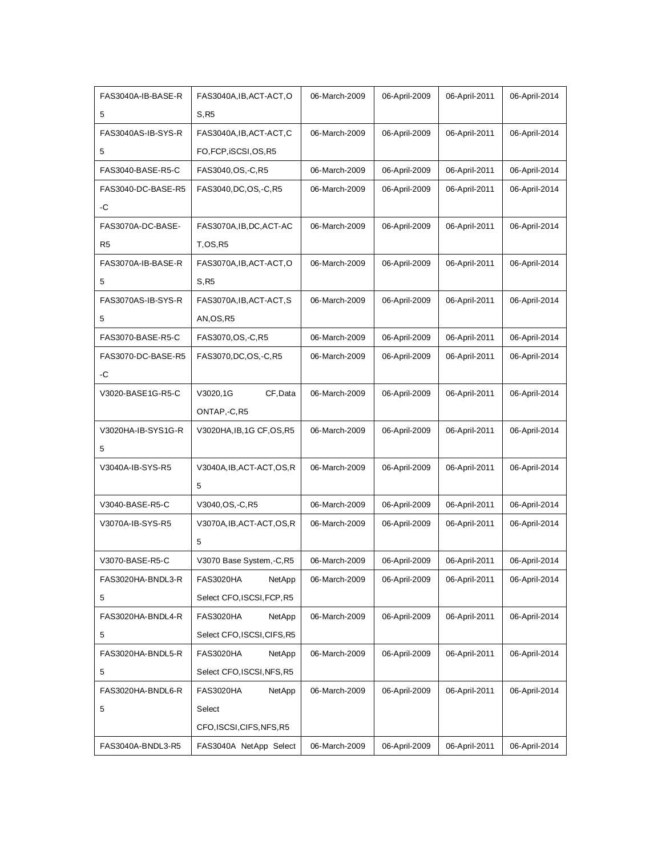| FAS3040A-IB-BASE-R | FAS3040A, IB, ACT-ACT, O    | 06-March-2009 | 06-April-2009 | 06-April-2011 | 06-April-2014 |
|--------------------|-----------------------------|---------------|---------------|---------------|---------------|
| 5                  | S.R5                        |               |               |               |               |
| FAS3040AS-IB-SYS-R | FAS3040A, IB, ACT-ACT, C    | 06-March-2009 | 06-April-2009 | 06-April-2011 | 06-April-2014 |
| 5                  | FO, FCP, iSCSI, OS, R5      |               |               |               |               |
| FAS3040-BASE-R5-C  | FAS3040, OS, -C, R5         | 06-March-2009 | 06-April-2009 | 06-April-2011 | 06-April-2014 |
| FAS3040-DC-BASE-R5 | FAS3040, DC, OS, -C, R5     | 06-March-2009 | 06-April-2009 | 06-April-2011 | 06-April-2014 |
| -C                 |                             |               |               |               |               |
| FAS3070A-DC-BASE-  | FAS3070A, IB, DC, ACT-AC    | 06-March-2009 | 06-April-2009 | 06-April-2011 | 06-April-2014 |
| R <sub>5</sub>     | <b>T.OS.R5</b>              |               |               |               |               |
| FAS3070A-IB-BASE-R | FAS3070A, IB, ACT-ACT, O    | 06-March-2009 | 06-April-2009 | 06-April-2011 | 06-April-2014 |
| 5                  | S, R5                       |               |               |               |               |
| FAS3070AS-IB-SYS-R | FAS3070A, IB, ACT-ACT, S    | 06-March-2009 | 06-April-2009 | 06-April-2011 | 06-April-2014 |
| 5                  | AN, OS, R5                  |               |               |               |               |
| FAS3070-BASE-R5-C  | FAS3070, OS, -C, R5         | 06-March-2009 | 06-April-2009 | 06-April-2011 | 06-April-2014 |
| FAS3070-DC-BASE-R5 | FAS3070, DC, OS, -C, R5     | 06-March-2009 | 06-April-2009 | 06-April-2011 | 06-April-2014 |
| -C                 |                             |               |               |               |               |
| V3020-BASE1G-R5-C  | V3020,1G<br>CF, Data        | 06-March-2009 | 06-April-2009 | 06-April-2011 | 06-April-2014 |
|                    | ONTAP,-C,R5                 |               |               |               |               |
| V3020HA-IB-SYS1G-R | V3020HA, IB, 1G CF, OS, R5  | 06-March-2009 | 06-April-2009 | 06-April-2011 | 06-April-2014 |
| 5                  |                             |               |               |               |               |
| V3040A-IB-SYS-R5   | V3040A, IB, ACT-ACT, OS, R  | 06-March-2009 | 06-April-2009 | 06-April-2011 | 06-April-2014 |
|                    | 5                           |               |               |               |               |
| V3040-BASE-R5-C    | V3040, OS, - C, R5          | 06-March-2009 | 06-April-2009 | 06-April-2011 | 06-April-2014 |
| V3070A-IB-SYS-R5   | V3070A, IB, ACT-ACT, OS, R  | 06-March-2009 | 06-April-2009 | 06-April-2011 | 06-April-2014 |
|                    | 5                           |               |               |               |               |
| V3070-BASE-R5-C    | V3070 Base System, -C, R5   | 06-March-2009 | 06-April-2009 | 06-April-2011 | 06-April-2014 |
| FAS3020HA-BNDL3-R  | <b>FAS3020HA</b><br>NetApp  | 06-March-2009 | 06-April-2009 | 06-April-2011 | 06-April-2014 |
| 5                  | Select CFO, ISCSI, FCP, R5  |               |               |               |               |
| FAS3020HA-BNDL4-R  | <b>FAS3020HA</b><br>NetApp  | 06-March-2009 | 06-April-2009 | 06-April-2011 | 06-April-2014 |
| 5                  | Select CFO, ISCSI, CIFS, R5 |               |               |               |               |
| FAS3020HA-BNDL5-R  | <b>FAS3020HA</b><br>NetApp  | 06-March-2009 | 06-April-2009 | 06-April-2011 | 06-April-2014 |
| 5                  | Select CFO, ISCSI, NFS, R5  |               |               |               |               |
| FAS3020HA-BNDL6-R  | NetApp<br><b>FAS3020HA</b>  | 06-March-2009 | 06-April-2009 | 06-April-2011 | 06-April-2014 |
| 5                  | Select                      |               |               |               |               |
|                    | CFO, ISCSI, CIFS, NFS, R5   |               |               |               |               |
| FAS3040A-BNDL3-R5  | FAS3040A NetApp Select      | 06-March-2009 | 06-April-2009 | 06-April-2011 | 06-April-2014 |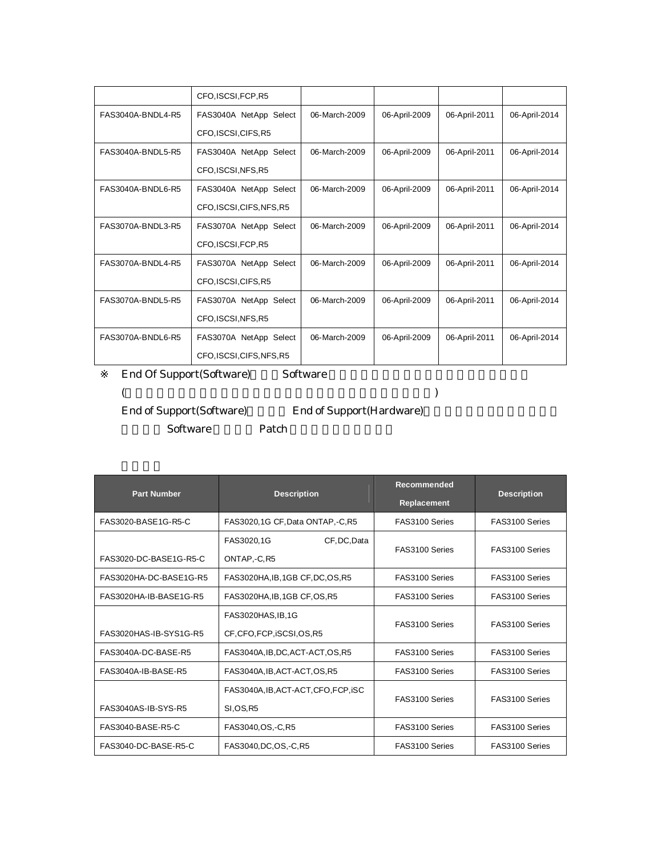|                   | CFO, ISCSI, FCP, R5       |               |               |               |               |
|-------------------|---------------------------|---------------|---------------|---------------|---------------|
| FAS3040A-BNDL4-R5 | FAS3040A NetApp Select    | 06-March-2009 | 06-April-2009 | 06-April-2011 | 06-April-2014 |
|                   | CFO, ISCSI, CIFS, R5      |               |               |               |               |
| FAS3040A-BNDL5-R5 | FAS3040A NetApp Select    | 06-March-2009 | 06-April-2009 | 06-April-2011 | 06-April-2014 |
|                   | CFO, ISCSI, NFS, R5       |               |               |               |               |
| FAS3040A-BNDL6-R5 | FAS3040A NetApp Select    | 06-March-2009 | 06-April-2009 | 06-April-2011 | 06-April-2014 |
|                   | CFO, ISCSI, CIFS, NFS, R5 |               |               |               |               |
| FAS3070A-BNDL3-R5 | FAS3070A NetApp Select    | 06-March-2009 | 06-April-2009 | 06-April-2011 | 06-April-2014 |
|                   | CFO, ISCSI, FCP, R5       |               |               |               |               |
| FAS3070A-BNDL4-R5 | FAS3070A NetApp Select    | 06-March-2009 | 06-April-2009 | 06-April-2011 | 06-April-2014 |
|                   | CFO, ISCSI, CIFS, R5      |               |               |               |               |
| FAS3070A-BNDL5-R5 | FAS3070A NetApp Select    | 06-March-2009 | 06-April-2009 | 06-April-2011 | 06-April-2014 |
|                   | CFO, ISCSI, NFS, R5       |               |               |               |               |
| FAS3070A-BNDL6-R5 | FAS3070A NetApp Select    | 06-March-2009 | 06-April-2009 | 06-April-2011 | 06-April-2014 |
|                   | CFO.ISCSI.CIFS.NFS.R5     |               |               |               |               |

End Of Support(Software) Software

(

End of Support(Software) End of Support(Hardware)

Software Patch

| <b>Part Number</b>     | <b>Description</b>                   | Recommended<br>Replacement | <b>Description</b> |  |
|------------------------|--------------------------------------|----------------------------|--------------------|--|
| FAS3020-BASE1G-R5-C    | FAS3020,1G CF, Data ONTAP, -C, R5    | FAS3100 Series             | FAS3100 Series     |  |
|                        | CF, DC, Data<br>FAS3020,1G           | FAS3100 Series             | FAS3100 Series     |  |
| FAS3020-DC-BASE1G-R5-C | ONTAP,-C, R5                         |                            |                    |  |
| FAS3020HA-DC-BASE1G-R5 | FAS3020HA, IB, 1GB CF, DC, OS, R5    | FAS3100 Series             | FAS3100 Series     |  |
| FAS3020HA-IB-BASE1G-R5 | FAS3020HA, IB, 1GB CF, OS, R5        | FAS3100 Series             | FAS3100 Series     |  |
|                        | FAS3020HAS, IB, 1G                   | FAS3100 Series             | FAS3100 Series     |  |
| FAS3020HAS-IB-SYS1G-R5 | CF, CFO, FCP, iSCSI, OS, R5          |                            |                    |  |
| FAS3040A-DC-BASE-R5    | FAS3040A, IB, DC, ACT-ACT, OS, R5    | FAS3100 Series             | FAS3100 Series     |  |
| FAS3040A-IB-BASE-R5    | FAS3040A, IB, ACT-ACT, OS, R5        | FAS3100 Series             | FAS3100 Series     |  |
|                        | FAS3040A, IB, ACT-ACT, CFO, FCP, ISC | FAS3100 Series             | FAS3100 Series     |  |
| FAS3040AS-IB-SYS-R5    | <b>SI.OS.R5</b>                      |                            |                    |  |
| FAS3040-BASE-R5-C      | FAS3040, OS, -C, R5                  | FAS3100 Series             | FAS3100 Series     |  |
| FAS3040-DC-BASE-R5-C   | FAS3040, DC, OS, -C, R5              | FAS3100 Series             | FAS3100 Series     |  |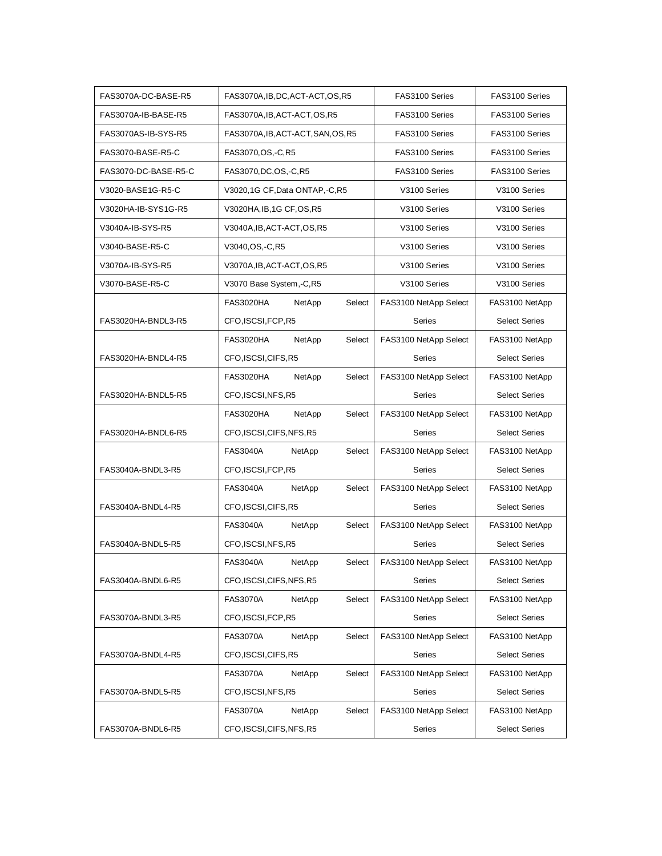| FAS3070A-DC-BASE-R5  | FAS3070A, IB, DC, ACT-ACT, OS, R5    | FAS3100 Series        | FAS3100 Series       |  |
|----------------------|--------------------------------------|-----------------------|----------------------|--|
| FAS3070A-IB-BASE-R5  | FAS3070A, IB, ACT-ACT, OS, R5        | FAS3100 Series        | FAS3100 Series       |  |
| FAS3070AS-IB-SYS-R5  | FAS3070A, IB, ACT-ACT, SAN, OS, R5   | FAS3100 Series        | FAS3100 Series       |  |
| FAS3070-BASE-R5-C    | FAS3070, OS, -C, R5                  | FAS3100 Series        | FAS3100 Series       |  |
| FAS3070-DC-BASE-R5-C | FAS3070, DC, OS, -C, R5              | FAS3100 Series        | FAS3100 Series       |  |
| V3020-BASE1G-R5-C    | V3020,1G CF, Data ONTAP, -C, R5      | V3100 Series          | V3100 Series         |  |
| V3020HA-IB-SYS1G-R5  | V3020HA, IB, 1G CF, OS, R5           | V3100 Series          | V3100 Series         |  |
| V3040A-IB-SYS-R5     | V3040A, IB, ACT-ACT, OS, R5          | V3100 Series          | V3100 Series         |  |
| V3040-BASE-R5-C      | V3040, OS, -C, R5                    | V3100 Series          | V3100 Series         |  |
| V3070A-IB-SYS-R5     | V3070A, IB, ACT-ACT, OS, R5          | V3100 Series          | V3100 Series         |  |
| V3070-BASE-R5-C      | V3070 Base System,-C,R5              | V3100 Series          | V3100 Series         |  |
|                      | <b>FAS3020HA</b><br>NetApp<br>Select | FAS3100 NetApp Select | FAS3100 NetApp       |  |
| FAS3020HA-BNDL3-R5   | CFO, ISCSI, FCP, R5                  | <b>Series</b>         | <b>Select Series</b> |  |
|                      | <b>FAS3020HA</b><br>NetApp<br>Select | FAS3100 NetApp Select | FAS3100 NetApp       |  |
| FAS3020HA-BNDL4-R5   | CFO, ISCSI, CIFS, R5                 | Series                | <b>Select Series</b> |  |
|                      | NetApp<br><b>FAS3020HA</b><br>Select | FAS3100 NetApp Select | FAS3100 NetApp       |  |
| FAS3020HA-BNDL5-R5   | CFO, ISCSI, NFS, R5                  | Series                | <b>Select Series</b> |  |
|                      | <b>FAS3020HA</b><br>NetApp<br>Select | FAS3100 NetApp Select | FAS3100 NetApp       |  |
| FAS3020HA-BNDL6-R5   | CFO, ISCSI, CIFS, NFS, R5            | Series                | <b>Select Series</b> |  |
|                      | <b>FAS3040A</b><br>NetApp<br>Select  | FAS3100 NetApp Select | FAS3100 NetApp       |  |
| FAS3040A-BNDL3-R5    | CFO, ISCSI, FCP, R5                  | Series                | <b>Select Series</b> |  |
|                      | <b>FAS3040A</b><br>NetApp<br>Select  | FAS3100 NetApp Select | FAS3100 NetApp       |  |
| FAS3040A-BNDL4-R5    | CFO, ISCSI, CIFS, R5                 | <b>Series</b>         | <b>Select Series</b> |  |
|                      | <b>FAS3040A</b><br>NetApp<br>Select  | FAS3100 NetApp Select | FAS3100 NetApp       |  |
| FAS3040A-BNDL5-R5    | CFO, ISCSI, NFS, R5                  | Series                | <b>Select Series</b> |  |
|                      | <b>FAS3040A</b><br>NetApp<br>Select  | FAS3100 NetApp Select | FAS3100 NetApp       |  |
| FAS3040A-BNDL6-R5    | CFO,ISCSI,CIFS,NFS,R5                | <b>Series</b>         | <b>Select Series</b> |  |
|                      | NetApp<br>Select<br><b>FAS3070A</b>  | FAS3100 NetApp Select | FAS3100 NetApp       |  |
| FAS3070A-BNDL3-R5    | CFO, ISCSI, FCP, R5                  | <b>Series</b>         | <b>Select Series</b> |  |
|                      | NetApp<br><b>FAS3070A</b><br>Select  | FAS3100 NetApp Select | FAS3100 NetApp       |  |
| FAS3070A-BNDL4-R5    | CFO, ISCSI, CIFS, R5                 | Series                | <b>Select Series</b> |  |
|                      | <b>FAS3070A</b><br>NetApp<br>Select  | FAS3100 NetApp Select | FAS3100 NetApp       |  |
| FAS3070A-BNDL5-R5    | CFO, ISCSI, NFS, R5                  | Series                | <b>Select Series</b> |  |
|                      | <b>FAS3070A</b><br>NetApp<br>Select  | FAS3100 NetApp Select | FAS3100 NetApp       |  |
| FAS3070A-BNDL6-R5    | CFO, ISCSI, CIFS, NFS, R5            | Series                | <b>Select Series</b> |  |